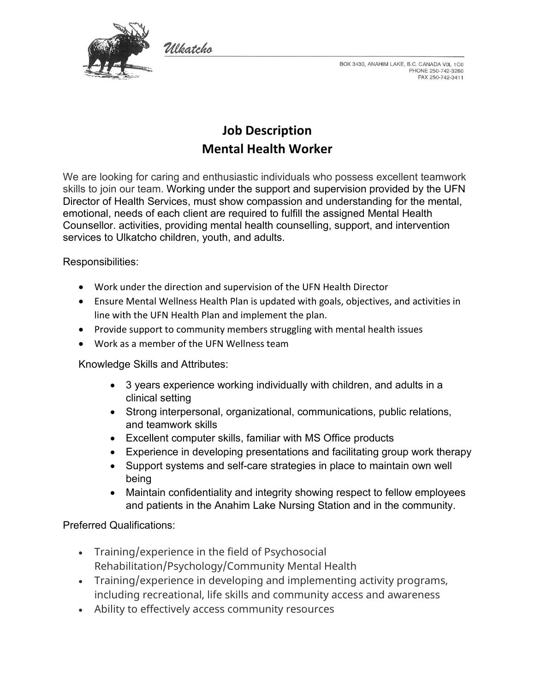

BOX 3430, ANAHIM LAKE, B.C. CANADA VOL 1C0 PHONE 250-742-3260 FAX 250-742-3411

# **Job Description Mental Health Worker**

We are looking for caring and enthusiastic individuals who possess excellent teamwork skills to join our team. Working under the support and supervision provided by the UFN Director of Health Services, must show compassion and understanding for the mental, emotional, needs of each client are required to fulfill the assigned Mental Health Counsellor. activities, providing mental health counselling, support, and intervention services to Ulkatcho children, youth, and adults.

Responsibilities:

- Work under the direction and supervision of the UFN Health Director
- Ensure Mental Wellness Health Plan is updated with goals, objectives, and activities in line with the UFN Health Plan and implement the plan.
- Provide support to community members struggling with mental health issues
- Work as a member of the UFN Wellness team

Włatcho

Knowledge Skills and Attributes:

- 3 years experience working individually with children, and adults in a clinical setting
- Strong interpersonal, organizational, communications, public relations, and teamwork skills
- Excellent computer skills, familiar with MS Office products
- Experience in developing presentations and facilitating group work therapy
- Support systems and self-care strategies in place to maintain own well being
- Maintain confidentiality and integrity showing respect to fellow employees and patients in the Anahim Lake Nursing Station and in the community.

## Preferred Qualifications:

- Training/experience in the field of Psychosocial Rehabilitation/Psychology/Community Mental Health
- Training/experience in developing and implementing activity programs, including recreational, life skills and community access and awareness
- Ability to effectively access community resources